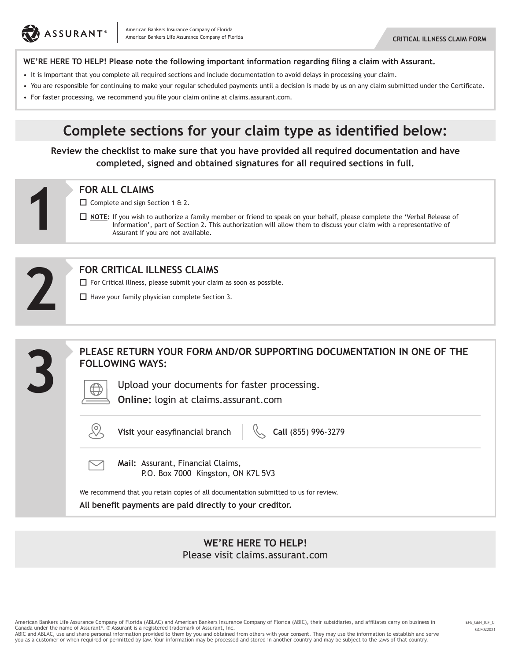

#### **WE'RE HERE TO HELP! Please note the following important information regarding filing a claim with Assurant.**

- It is important that you complete all required sections and include documentation to avoid delays in processing your claim.
- You are responsible for continuing to make your regular scheduled payments until a decision is made by us on any claim submitted under the Certificate.
- For faster processing, we recommend you file your claim online at claims.assurant.com.

## **Complete sections for your claim type as identified below:**

**Review the checklist to make sure that you have provided all required documentation and have completed, signed and obtained signatures for all required sections in full.**

 $\Box$  Complete and sign Section 1 & 2.

**NOTE:** If you wish to authorize a family member or friend to speak on your behalf, please complete the 'Verbal Release of Information', part of Section 2. This authorization will allow them to discuss your claim with a representative of Assurant if you are not available. **FOR ALL CLAIMS**<br>  $\Box$  Complete and sign Se<br>  $\Box$  <u>NOTE</u>: If you wish to<br>
Information',<br>
Assurant if you



#### **FOR CRITICAL ILLNESS CLAIMS**

 $\Box$  For Critical Illness, please submit your claim as soon as possible.

 $\Box$  Have your family physician complete Section 3.



#### **WE'RE HERE TO HELP!** Please visit claims.assurant.com

American Bankers Life Assurance Company of Florida (ABLAC) and American Bankers Insurance Company of Florida (ABIC), their subsidiaries, and affiliates carry on business in Canada under the name of Assurant®. ® Assurant is a registered trademark of Assurant, Inc. ABIC and ABLAC, use and share personal information provided to them by you and obtained from others with your consent. They may use the information to establish and serve you as a customer or when required or permitted by law. Your information may be processed and stored in another country and may be subject to the laws of that country.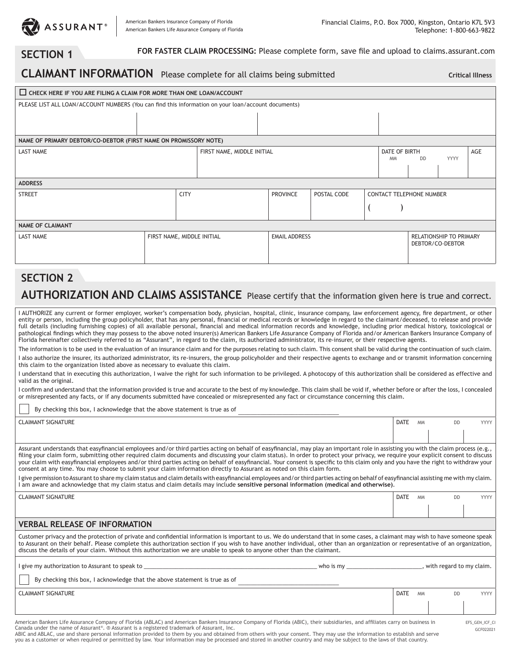

## **SECTION 1**

 **FOR FASTER CLAIM PROCESSING:** Please complete form, save file and upload to claims.assurant.com

## **CLAIMANT INFORMATION** Please complete for all claims being submitted

**Critical Illness**

| CHECK HERE IF YOU ARE FILING A CLAIM FOR MORE THAN ONE LOAN/ACCOUNT                                 |                            |  |                                |  |                      |  |                                 |                                                    |             |     |  |
|-----------------------------------------------------------------------------------------------------|----------------------------|--|--------------------------------|--|----------------------|--|---------------------------------|----------------------------------------------------|-------------|-----|--|
| PLEASE LIST ALL LOAN/ACCOUNT NUMBERS (You can find this information on your loan/account documents) |                            |  |                                |  |                      |  |                                 |                                                    |             |     |  |
|                                                                                                     |                            |  |                                |  |                      |  |                                 |                                                    |             |     |  |
| NAME OF PRIMARY DEBTOR/CO-DEBTOR (FIRST NAME ON PROMISSORY NOTE)                                    |                            |  |                                |  |                      |  |                                 |                                                    |             |     |  |
| <b>LAST NAME</b>                                                                                    |                            |  | FIRST NAME, MIDDLE INITIAL     |  |                      |  | DATE OF BIRTH<br><b>MM</b>      | <b>DD</b>                                          | <b>YYYY</b> | AGE |  |
| <b>ADDRESS</b>                                                                                      |                            |  |                                |  |                      |  |                                 |                                                    |             |     |  |
| <b>CITY</b><br><b>STREET</b>                                                                        |                            |  | POSTAL CODE<br><b>PROVINCE</b> |  |                      |  | <b>CONTACT TELEPHONE NUMBER</b> |                                                    |             |     |  |
|                                                                                                     |                            |  |                                |  |                      |  |                                 |                                                    |             |     |  |
| <b>NAME OF CLAIMANT</b>                                                                             |                            |  |                                |  |                      |  |                                 |                                                    |             |     |  |
| <b>LAST NAME</b>                                                                                    | FIRST NAME, MIDDLE INITIAL |  |                                |  | <b>EMAIL ADDRESS</b> |  |                                 | <b>RELATIONSHIP TO PRIMARY</b><br>DEBTOR/CO-DEBTOR |             |     |  |

# **SECTION 2 AUTHORIZATION AND CLAIMS ASSISTANCE** Please certify that the information given here is true and correct.

I AUTHORIZE any current or former employer, worker's compensation body, physician, hospital, clinic, insurance company, law enforcement agency, fire department, or other entity or person, including the group policyholder, that has any personal, financial or medical records or knowledge in regard to the claimant/deceased, to release and provide full details (including furnishing copies) of all available personal, financial and medical information records and knowledge, including prior medical history, toxicological or pathological findings which they may possess to the above noted insurer(s) American Bankers Life Assurance Company of Florida and/or American Bankers Insurance Company of Florida hereinafter collectively referred to as "Assurant", in regard to the claim, its authorized administrator, its re-insurer, or their respective agents.

The information is to be used in the evaluation of an insurance claim and for the purposes relating to such claim. This consent shall be valid during the continuation of such claim.

I also authorize the insurer, its authorized administrator, its re-insurers, the group policyholder and their respective agents to exchange and or transmit information concerning this claim to the organization listed above as necessary to evaluate this claim.

I understand that in executing this authorization, I waive the right for such information to be privileged. A photocopy of this authorization shall be considered as effective and valid as the original.

I confirm and understand that the information provided is true and accurate to the best of my knowledge. This claim shall be void if, whether before or after the loss, I concealed or misrepresented any facts, or if any documents submitted have concealed or misrepresented any fact or circumstance concerning this claim.

By checking this box, I acknowledge that the above statement is true as of

| <b>CLAIMANT SIGNATURE</b>                                                                                                                                                                                                                                                                                                                                                                                                                                                                                                                                                                                                                                                                  | <b>DATE</b> | <b>MM</b> |           | <b>YYYY</b> |  |  |  |  |
|--------------------------------------------------------------------------------------------------------------------------------------------------------------------------------------------------------------------------------------------------------------------------------------------------------------------------------------------------------------------------------------------------------------------------------------------------------------------------------------------------------------------------------------------------------------------------------------------------------------------------------------------------------------------------------------------|-------------|-----------|-----------|-------------|--|--|--|--|
|                                                                                                                                                                                                                                                                                                                                                                                                                                                                                                                                                                                                                                                                                            |             |           |           |             |  |  |  |  |
| Assurant understands that easyfinancial employees and/or third parties acting on behalf of easyfinancial, may play an important role in assisting you with the claim process (e.g.,<br>filing your claim form, submitting other required claim documents and discussing your claim status). In order to protect your privacy, we require your explicit consent to discuss<br>your claim with easyfinancial employees and/or third parties acting on behalf of easyfinancial. Your consent is specific to this claim only and you have the right to withdraw your<br>consent at any time. You may choose to submit your claim information directly to Assurant as noted on this claim form. |             |           |           |             |  |  |  |  |
| l give permission to Assurant to share my claim status and claim details with easyfinancial employees and/or third parties acting on behalf of easyfinancial assisting me with my claim.<br>am aware and acknowledge that my claim status and claim details may include sensitive personal information (medical and otherwise).                                                                                                                                                                                                                                                                                                                                                            |             |           |           |             |  |  |  |  |
| <b>CLAIMANT SIGNATURE</b>                                                                                                                                                                                                                                                                                                                                                                                                                                                                                                                                                                                                                                                                  | <b>DATE</b> | <b>MM</b> | <b>DD</b> | <b>YYYY</b> |  |  |  |  |
|                                                                                                                                                                                                                                                                                                                                                                                                                                                                                                                                                                                                                                                                                            |             |           |           |             |  |  |  |  |
| <b>VERBAL RELEASE OF INFORMATION</b>                                                                                                                                                                                                                                                                                                                                                                                                                                                                                                                                                                                                                                                       |             |           |           |             |  |  |  |  |
| Customer privacy and the protection of private and confidential information is important to us. We do understand that in some cases, a claimant may wish to have someone speak<br>to Assurant on their behalf. Please complete this authorization section if you wish to have another individual, other than an organization or representative of an organization,<br>discuss the details of your claim. Without this authorization we are unable to speak to anyone other than the claimant.                                                                                                                                                                                              |             |           |           |             |  |  |  |  |
| who is my _________________________________, with regard to my claim.                                                                                                                                                                                                                                                                                                                                                                                                                                                                                                                                                                                                                      |             |           |           |             |  |  |  |  |
| By checking this box, I acknowledge that the above statement is true as of                                                                                                                                                                                                                                                                                                                                                                                                                                                                                                                                                                                                                 |             |           |           |             |  |  |  |  |
| <b>CLAIMANT SIGNATURE</b>                                                                                                                                                                                                                                                                                                                                                                                                                                                                                                                                                                                                                                                                  | <b>DATE</b> | <b>MM</b> | <b>DD</b> | <b>YYYY</b> |  |  |  |  |
|                                                                                                                                                                                                                                                                                                                                                                                                                                                                                                                                                                                                                                                                                            |             |           |           |             |  |  |  |  |

American Bankers Life Assurance Company of Florida (ABLAC) and American Bankers Insurance Company of Florida (ABIC), their subsidiaries, and affiliates carry on business in Canada under the name of Assurant®. ® Assurant is a registered trademark of Assurant, Inc.<br>ABIC and ABLAC, use and share personal information provided to them by you and obtained from others with your consent. They may use

GCF022021 EFS\_GEN\_ICF\_CI

you as a customer or when required or permitted by law. Your information may be processed and stored in another country and may be subject to the laws of that country.